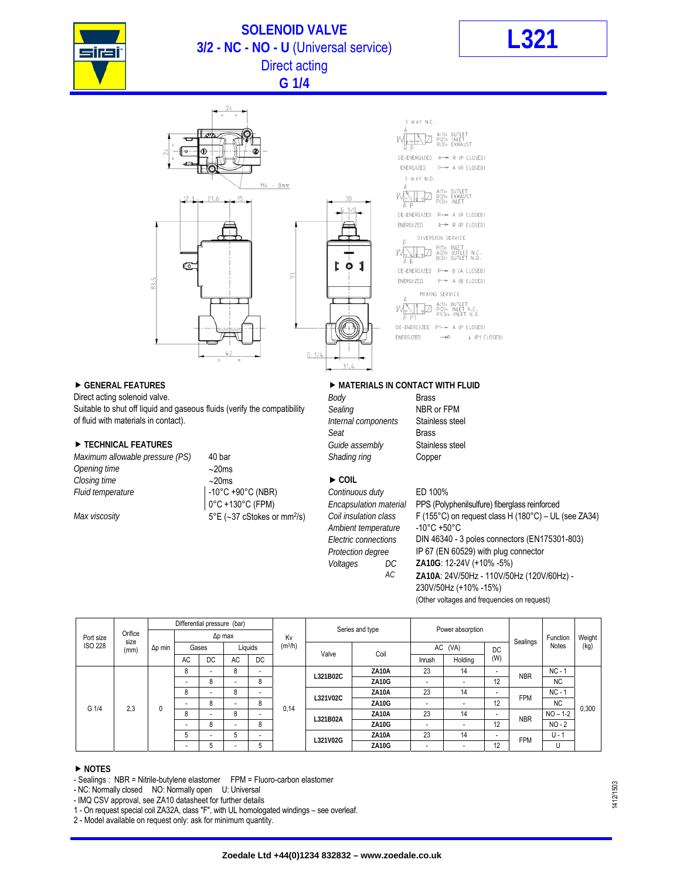

## **SOLENOID VALVE 3/2 - NC - NO - U** (Universal service) **L321** Direct acting



**G 1/4** 



Direct acting solenoid valve. **Body Brass Body Brass** Suitable to shut off liquid and gaseous fluids (verify the compatibility Sealing Sealing NBR or FPM of fluid with materials in contact). *Internal components* Stainless steel

### ▶ TECHNICAL FEATURES *Guide assembly* Stainless steel

*Maximum allowable pressure (PS)* 40 bar *Shading ring* Copper *Opening time* 20ms *Closing time*  $\rightarrow$  20ms ▶ COIL *Fluid temperature* -10°C +90°C (NBR) *Continuous duty* ED 100%

## ▶ GENERAL FEATURES **DESIGNATION IN A MATERIALS IN CONTACT WITH FLUID**

3 WAY N.C.

3 WAY N.O.

A(1)= OUTLET<br>R(2)= EXHAUST<br>P(3)= INLET

DIVERSION SERVICE

MIXING SERVICE  $A(1) = 0$ UTLE<br> $P(2) = 1$ NLET F

 $\rightarrow$ 

A (P1 CLOSED)

**Seat Brass** Seat Brass

*Ambient temperature* -10°C +50°C

0°C +130°C (FPM) *Encapsulation material* PPS (Polyphenilsulfure) fiberglass reinforced *Max viscosity* **5°E** (~37 cStokes or mm<sup>2</sup>/s) *Coil insulation class* F (155°C) on request class H (180°C) – UL (see ZA34) *Electric connections* DIN 46340 - 3 poles connectors (EN175301-803) *Protection degree* IP 67 (EN 60529) with plug connector *Voltages DC* **ZA10G**: 12-24V (+10% -5%) *AC* **ZA10A**: 24V/50Hz - 110V/50Hz (120V/60Hz) - 230V/50Hz (+10% -15%) (Other voltages and frequencies on request)

| Port size<br><b>ISO 228</b> | Orifice<br>size<br>(mm) | Differential pressure (bar) |                |                          |                          |                          |                     |                 |              |                          |                          |                          |            |              |        |
|-----------------------------|-------------------------|-----------------------------|----------------|--------------------------|--------------------------|--------------------------|---------------------|-----------------|--------------|--------------------------|--------------------------|--------------------------|------------|--------------|--------|
|                             |                         | $\Delta p$ min              | $\Delta p$ max |                          |                          |                          | Kv                  | Series and type |              | Power absorption         |                          |                          |            | Function     | Weight |
|                             |                         |                             |                | Gases                    | Liquids                  |                          | (m <sup>3</sup> /h) | Valve           | Coil         | AC (VA)                  |                          | DC.                      | Sealings   | <b>Notes</b> | (kg)   |
|                             |                         |                             | AC             | DC                       | AC                       | DC                       |                     |                 |              | Inrush                   | Holding                  | (W)                      |            |              |        |
| G 1/4                       | 2,3                     | 0                           | 8              | $\overline{\phantom{0}}$ | 8                        | $\overline{\phantom{0}}$ | 0,14                | L321B02C        | ZA10A        | 23                       | 14                       | -                        | <b>NBR</b> | $NC - 1$     | 0,300  |
|                             |                         |                             | -              | 8                        | $\overline{\phantom{a}}$ | 8                        |                     |                 | <b>ZA10G</b> | $\overline{\phantom{0}}$ | $\overline{\phantom{0}}$ | 12                       |            | <b>NC</b>    |        |
|                             |                         |                             | 8              | $\overline{\phantom{0}}$ | 8                        | $\overline{\phantom{a}}$ |                     | L321V02C        | ZA10A        | 23                       | 14                       | $\overline{\phantom{a}}$ | <b>FPM</b> | $NC - 1$     |        |
|                             |                         |                             |                | 8                        |                          | 8                        |                     |                 | <b>ZA10G</b> |                          |                          | 12                       |            | <b>NC</b>    |        |
|                             |                         |                             | 8              | $\overline{\phantom{0}}$ | 8                        | $\overline{\phantom{a}}$ |                     | L321B02A        | ZA10A        | 23                       | 14                       | $\overline{\phantom{0}}$ | <b>NBR</b> | $NO - 1-2$   |        |
|                             |                         |                             |                | 8                        |                          | 8                        |                     |                 | <b>ZA10G</b> |                          | ۰                        | 12                       |            | $NO - 2$     |        |
|                             |                         |                             | 5              | $\overline{\phantom{0}}$ | 5                        | $\overline{\phantom{a}}$ |                     | L321V02G        | ZA10A        | 23                       | 14                       | -                        | <b>FPM</b> | $U - 1$      |        |
|                             |                         |                             | -              | 5                        |                          | 5                        |                     |                 | <b>ZA10G</b> | $\overline{\phantom{a}}$ | -                        | 12                       |            | U            |        |

### **NOTES**

- Sealings : NBR = Nitrile-butylene elastomer FPM = Fluoro-carbon elastomer

- NC: Normally closed NO: Normally open U: Universal

- IMQ CSV approval, see ZA10 datasheet for further details

1 - On request special coil ZA32A, class "F", with UL homologated windings – see overleaf.

2 - Model available on request only: ask for minimum quantity.

1412/1503